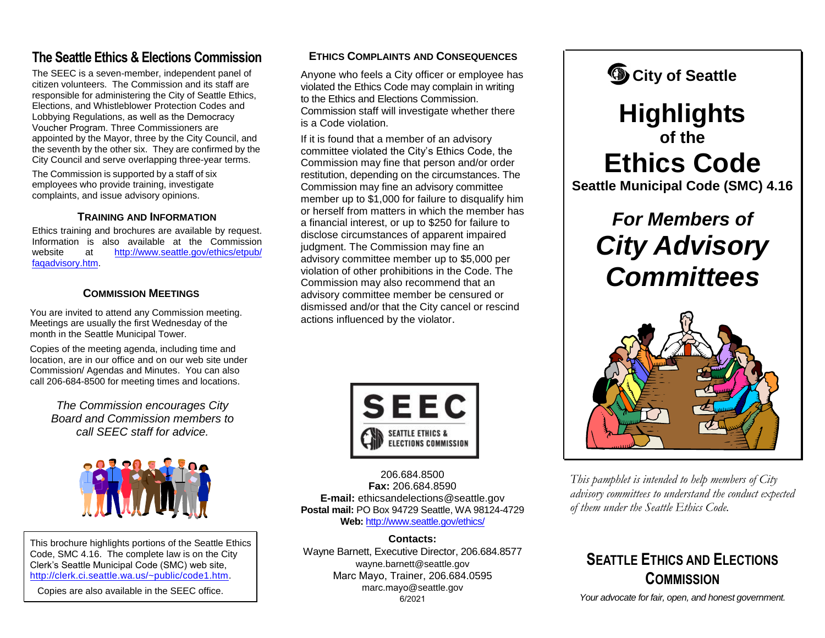### **The Seattle Ethics & Elections Commission**

The SEEC is a seven-member, independent panel of citizen volunteers. The Commission and its staff are responsible for administering the City of Seattle Ethics, Elections, and Whistleblower Protection Codes and Lobbying Regulations, as well as the Democracy Voucher Program. Three Commissioners are appointed by the Mayor, three by the City Council, and the seventh by the other six. They are confirmed by the City Council and serve overlapping three-year terms.

The Commission is supported by a staff of six employees who provide training, investigate complaints, and issue advisory opinions.

#### **TRAINING AND INFORMATION**

Ethics training and brochures are available by request. [Information is also available at the Commiss](http://www.seattle.gov/ethics/etpub/faqadvisory.htm)ion website at http://www.seattle.gov/ethics/etpub/ faqadvisory.htm.

#### **COMMISSION MEETINGS**

You are invited to attend any Commission meeting. Meetings are usually the first Wednesday of the month in the Seattle Municipal Tower.

Copies of the meeting agenda, including time and location, are in our office and on our web site under Commission/ Agendas and Minutes. You can also call 206-684-8500 for meeting times and locations.

*The Commission encourages City Board and Commission members to call SEEC staff for advice.*



This brochure highlights portions of the Seattle Ethics Code, SMC 4.16. The complete law is on the City Clerk's Seattle Municipal Code (SMC) web site, [http://clerk.ci.seattle.wa.us/~public/code1.htm.](http://clerk.ci.seattle.wa.us/~public/code1.htm)

Copies are also available in the SEEC office.

#### **ETHICS COMPLAINTS AND CONSEQUENCES**

Anyone who feels a City officer or employee has violated the Ethics Code may complain in writing to the Ethics and Elections Commission. Commission staff will investigate whether there is a Code violation.

If it is found that a member of an advisory committee violated the City's Ethics Code, the Commission may fine that person and/or order restitution, depending on the circumstances. The Commission may fine an advisory committee member up to \$1,000 for failure to disqualify him or herself from matters in which the member has a financial interest, or up to \$250 for failure to disclose circumstances of apparent impaired judgment. The Commission may fine an advisory committee member up to \$5,000 per violation of other prohibitions in the Code. The Commission may also recommend that an advisory committee member be censured or dismissed and/or that the City cancel or rescind actions influenced by the violator.



206.684.8500 **Fax:** 206.684.8590 **E-mail:** ethicsandelections@seattle.gov **Postal mail:** PO Box 94729 Seattle, WA 98124-4729 **Web:** <http://www.seattle.gov/ethics/>

### **Contacts:**

Wayne Barnett, Executive Director, 206.684.8577 wayne.barnett@seattle.gov Marc Mayo, Trainer, 206.684.0595 marc.mayo@seattle.gov 6/2021



## **Highlights of the Ethics Code Seattle Municipal Code (SMC) 4.16**

# *For Members of City Advisory Committees*



*This pamphlet is intended to help members of City advisory committees to understand the conduct expected of them under the Seattle Ethics Code.*

### **SEATTLE ETHICS AND ELECTIONS COMMISSION**

*Your advocate for fair, open, and honest government.*